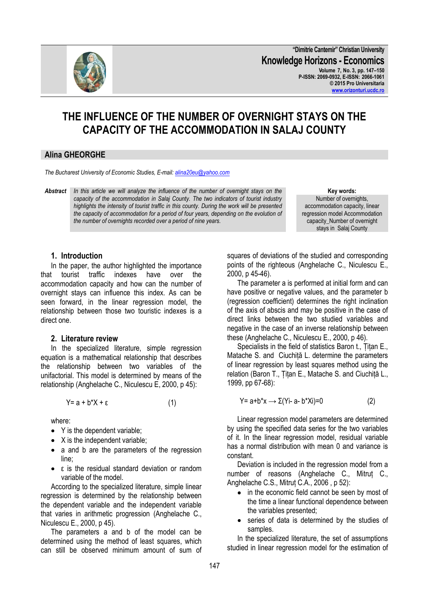

147

The parameters a and b of the model can be determined using the method of least squares, which can still be observed minimum amount of sum of squares of deviations of the studied and corresponding points of the righteous (Anghelache C., Niculescu E., 2000, p 45-46).

The parameter a is performed at initial form and can have positive or negative values, and the parameter b (regression coefficient) determines the right inclination of the axis of abscis and may be positive in the case of direct links between the two studied variables and negative in the case of an inverse relationship between these (Anghelache C., Niculescu E., 2000, p 46).

Specialists in the field of statistics Baron t., Țițan E., Matache S. and Ciuchiță L. determine the parameters of linear regression by least squares method using the relation (Baron T., Țițan E., Matache S. and Ciuchiță L., 1999, pp 67-68):

$$
Y = a + b^*x \longrightarrow \Sigma(Y - a - b^*) = 0 \tag{2}
$$

Linear regression model parameters are determined by using the specified data series for the two variables of it. In the linear regression model, residual variable has a normal distribution with mean 0 and variance is constant.

Deviation is included in the regression model from a number of reasons (Anghelache C., Mitruț C., Anghelache C.S., Mitruț C.A., 2006 , p 52):

- in the economic field cannot be seen by most of the time a linear functional dependence between the variables presented;
- series of data is determined by the studies of samples.

In the specialized literature, the set of assumptions studied in linear regression model for the estimation of

In the paper, the author highlighted the importance that tourist traffic indexes have over the accommodation capacity and how can the number of overnight stays can influence this index. As can be seen forward, in the linear regression model, the relationship between those two touristic indexes is a direct one.

#### **2. Literature review**

In the specialized literature, simple regression equation is a mathematical relationship that describes the relationship between two variables of the unifactorial. This model is determined by means of the relationship (Anghelache C., Niculescu E, 2000, p 45):

$$
Y = a + b^*X + \varepsilon \tag{1}
$$

where:

Niculescu E., 2000, p 45).

- Y is the dependent variable;
- $\bullet$  X is the independent variable;
- a and b are the parameters of the regression  $\bullet$ line<sup>.</sup>
- ε is the residual standard deviation or random variable of the model.

According to the specialized literature, simple linear regression is determined by the relationship between the dependent variable and the independent variable

*the number of overnights recorded over a period of nine years.* **1. Introduction**

*highlights the intensity of tourist traffic in this county. During the work will be presented the capacity of accommodation for a period of four years, depending on the evolution of* 

*Abstract In this article we will analyze the influence of the number of overnight stays on the capacity of the accommodation in Salaj County. The two indicators of tourist industry*  **Key words:**

**CAPACITY OF THE ACCOMMODATION IN SALAJ COUNTY Alina GHEORGHE**

**THE INFLUENCE OF THE NUMBER OF OVERNIGHT STAYS ON THE** 

# *The Bucharest University of Economic Studies, E-mail: [alina20eu@yahoo.com](mailto:alina20eu@yahoo.com)*

**"Dimitrie Cantemir" Christian University Knowledge Horizons - Economics Volume 7, No. 3, pp. 147–150 P-ISSN: 2069-0932, E-ISSN: 2066-1061 © 2015 Pro Universitaria [www.orizonturi.ucdc.ro](http://www.orizonturi.ucdc.ro/)**



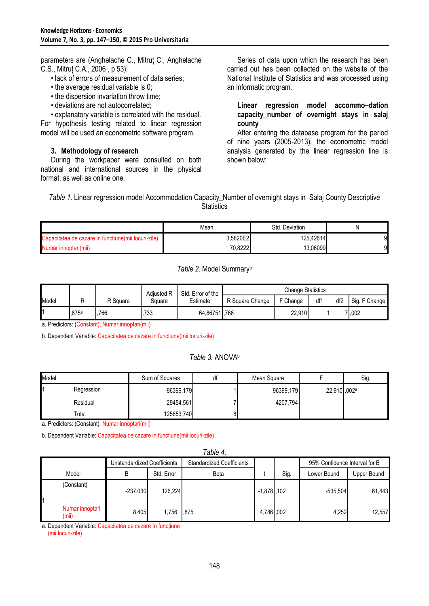parameters are (Anghelache C., Mitruț C., Anghelache C.S., Mitruț C.A., 2006 , p 53):

- lack of errors of measurement of data series;
- the average residual variable is 0;
- the dispersion invariation throw time;
- deviations are not autocorrelated;

• explanatory variable is correlated with the residual. For hypothesis testing related to linear regression model will be used an econometric software program.

# **3. Methodology of research**

During the workpaper were consulted on both national and international sources in the physical format, as well as online one.

Series of data upon which the research has been carried out has been collected on the website of the National Institute of Statistics and was processed using an informatic program.

**Linear regression model accommo–dation capacity\_number of overnight stays in salaj county**

After entering the database program for the period of nine years (2005-2013), the econometric model analysis generated by the linear regression line is shown below:

*Table 1.* Linear regression model Accommodation Capacity Number of overnight stays in Salaj County Descriptive **Statistics** 

|                                                      | Mean     | Std. Deviation |    |
|------------------------------------------------------|----------|----------------|----|
| Capacitatea de cazare in functiune (mii locuri-zile) | 3.5820E2 | 125.42614      | 91 |
| Numar innoptari(mii)                                 | 70.8222  | 13.060991      | 91 |

# *Table 2.* Model Summary<sup>b</sup>

|       |       |          | Adiusted R | Std. Error of the | <b>Change Statistics</b> |          |     |                 |               |
|-------|-------|----------|------------|-------------------|--------------------------|----------|-----|-----------------|---------------|
| Model |       | २ Square | Square     | Estimate          | R Square Change          | F Change | df1 | df <sub>2</sub> | Sig. F Change |
|       | .875a | .766     | 733        | 64.86751.766      |                          | 22,910   |     |                 | .002          |

a. Predictors: (Constant), Numar innoptari(mii)

b. Dependent Variable: Capacitatea de cazare in functiune(mii locuri-zile)

# *Table 3.* ANOVA<sup>b</sup>

| Model |            | Sum of Squares | a1 | Mean Square |             | Sig. |
|-------|------------|----------------|----|-------------|-------------|------|
|       | Regression | 96399,179      |    | 96399,179   | 22,910,002ª |      |
|       | Residual   | 29454,561      |    | 4207,794    |             |      |
|       | Total      | 125853,740     | οı |             |             |      |

a. Predictors: (Constant), Numar innoptari(mii)

b. Dependent Variable: Capacitatea de cazare in functiune(mii locuri-zile)

| Table 4. |                          |                             |            |                                  |                |      |                               |             |
|----------|--------------------------|-----------------------------|------------|----------------------------------|----------------|------|-------------------------------|-------------|
|          |                          | Unstandardized Coefficients |            | <b>Standardized Coefficients</b> |                |      | 95% Confidence Interval for B |             |
|          | Model                    | В                           | Std. Error | Beta                             |                | Sig. | Lower Bound                   | Upper Bound |
|          | (Constant)               | $-237.030$                  | 126,224    |                                  | $-1,878$ , 102 |      | $-535,504$                    | 61,443      |
|          | Numar innoptari<br>(mii) | 8.405                       | 1,756      | .875                             | 4,786,002      |      | 4,252                         | 12,557      |

a. Dependent Variable: Capacitatea de cazare în funcțiune

(mii locuri-zile)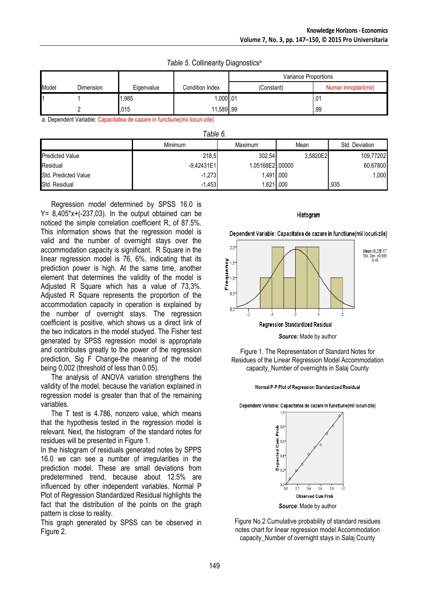*Table 5.* Collinearity Diagnostics<sup>a</sup>

|       |           |            |                 | Variance Proportions |                      |  |
|-------|-----------|------------|-----------------|----------------------|----------------------|--|
| Model | Dimension | Eigenvalue | Condition Index | (Constant)           | Numar innoptari(mii) |  |
| 11    |           | 1,985      | 1,000,01        |                      | .01                  |  |
|       |           | .015       | 11,589,99       |                      | .99                  |  |

a. Dependent Variable: Capacitatea de cazare in functiune(mii locuri-zile)

| Table 6.               |                |                 |          |                |  |  |  |
|------------------------|----------------|-----------------|----------|----------------|--|--|--|
|                        | <b>Minimum</b> | Maximum<br>Mean |          | Std. Deviation |  |  |  |
| <b>Predicted Value</b> | 218,5          | 302,54          | 3.5820E2 | 109,77202      |  |  |  |
| Residual               | $-9,42431E1$   | 1,05168E2,00000 |          | 60,67800       |  |  |  |
| Std. Predicted Value   | $-1,273$       | 1,491,000       |          | 1,000          |  |  |  |
| Std. Residual          | $-1,453$       | 1,621,000       |          | ,935           |  |  |  |

Regression model determined by SPSS 16.0 is  $Y = 8,405*x+(237,03)$ . In the output obtained can be noticed the simple correlation coefficient R, of 87.5%. This information shows that the regression model is valid and the number of overnight stays over the accommodation capacity is significant. R Square in the linear regression model is 76, 6%, indicating that its prediction power is high. At the same time, another element that determines the validity of the model is Adjusted R Square which has a value of 73,3%. Adjusted R Square represents the proportion of the accommodation capacity in operation is explained by the number of overnight stays. The regression coefficient is positive, which shows us a direct link of the two indicators in the model studyed. The Fisher test generated by SPSS regression model is appropriate and contributes greatly to the power of the regression prediction, Sig F Change-the meaning of the model being 0,002 (threshold of less than 0.05).

The analysis of ANOVA variation strengthens the validity of the model, because the variation explained in regression model is greater than that of the remaining variables.

The T test is 4.786, nonzero value, which means that the hypothesis tested in the regression model is relevant. Next, the histogram of the standard notes for residues will be presented in Figure 1.

In the histogram of residuals generated notes by SPPS 16.0 we can see a number of irregularities in the prediction model. These are small deviations from predetermined trend, because about 12.5% are influenced by other independent variables. Normal P Plot of Regression Standardized Residual highlights the fact that the distribution of the points on the graph pattern is close to reality.

This graph generated by SPSS can be observed in Figure 2.

#### Histogram

Dependent Variable: Capacitatea de cazare in functiune(mii locuri-zile)



Figure 1. The Representation of Standard Notes for Residues of the Linear Regression Model Accommodation capacity\_Number of overnights in Salaj County





Figure No.2 Cumulative probability of standard residues notes chart for linear regression model Accommodation capacity\_Number of overnight stays in Salaj County